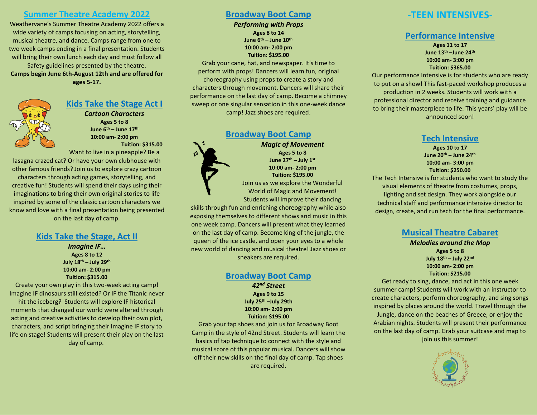#### **Summer Theatre Academy 2022**

Weathervane's Summer Theatre Academy 2022 offers a wide variety of camps focusing on acting, storytelling, musical theatre, and dance. Camps range from one to two week camps ending in a final presentation. Students will bring their own lunch each day and must follow all Safety guidelines presented by the theatre. **Camps begin June 6th-August 12th and are offered for ages 5-17.**

## **Kids Take the Stage Act I**

*Cartoon Characters* **Ages 5 to 8 June 6th – June 17th 10:00 am- 2:00 pm [Tuition:](http://www.weathervaneplayhouse.com/imagine-that-where-the-wild-things-are-offer) \$315.00**

Want to live in a pineapple? Be a lasagna crazed cat? Or have your own clubhouse with other famous friends? Join us to explore crazy cartoon characters through acting games, storytelling, and creative fun! Students will spend their days using their imaginations to bring their own original stories to life inspired by some of the classic cartoon characters we know and love with a final presentation being presented on the last day of camp.

#### **Kids Take the Stage, Act II**

*Imagine IF…* **Ages 8 to 12 July 18th – July 29th 10:00 am- 2:00 pm Tuition: \$315.00**

Create your own play in this two-week acting camp! Imagine IF dinosaurs still existed? Or IF the Titanic never hit the iceberg? Students will explore IF historical moments that changed our world were altered through acting and creative activities to develop their own plot, characters, and script bringing their Imagine IF story to life on stage! Students will present their play on the last day of camp.

#### **Broadway Boot Camp**

*Performing with Props* **Ages 8 to 14 June 6th – June 10th 10:00 am- 2:00 pm [Tuition:](http://www.weathervaneplayhouse.com/imagine-that-where-the-wild-things-are-offer) \$195.00**

Grab your cane, hat, and newspaper. It's time to perform with props! Dancers will learn fun, original choreography using props to create a story and characters through movement. Dancers will share their performance on the last day of camp. Become a chimney sweep or one singular sensation in this one-week dance camp! Jazz shoes are required.

#### **Broadway Boot Camp**



*Magic of Movement* **Ages 5 to 8 June 27th – July 1st 10:00 am- 2:00 pm [Tuition:](http://www.weathervaneplayhouse.com/imagine-that-where-the-wild-things-are-offer) \$195.00** Join us as we explore the Wonderful World of Magic and Movement! Students will improve their dancing

skills through fun and enriching choreography while also exposing themselves to different shows and music in this one week camp. Dancers will present what they learned on the last day of camp. Become king of the jungle, the queen of the ice castle, and open your eyes to a whole new world of dancing and musical theatre! Jazz shoes or sneakers are required.

#### **Broadway Boot Camp**

*42nd Street* **Ages 9 to 15 July 25th –July 29th 10:00 am- 2:00 pm [Tuition:](http://www.weathervaneplayhouse.com/imagine-that-where-the-wild-things-are-offer) \$195.00**

Grab your tap shoes and join us for Broadway Boot Camp in the style of 42nd Street. Students will learn the basics of tap technique to connect with the style and musical score of this popular musical. Dancers will show off their new skills on the final day of camp. Tap shoes are required.

# **-TEEN INTENSIVES-**

#### **Performance Intensive**

**Ages 11 to 17 June 13th –June 24th 10:00 am- 3:00 pm [Tuition:](http://www.weathervaneplayhouse.com/imagine-that-where-the-wild-things-are-offer) \$365.00**

Our performance Intensive is for students who are ready to put on a show! This fast-paced workshop produces a production in 2 weeks. Students will work with a professional director and receive training and guidance to bring their masterpiece to life. This years' play will be announced soon!

#### **Tech Intensive**

**Ages 10 to 17 June 20th – June 24th 10:00 am- 3:00 pm Tuition: \$250.00**

The Tech Intensive is for students who want to study the visual elements of theatre from costumes, props, lighting and set design. They work alongside our technical staff and performance intensive director to design, create, and run tech for the final performance.

#### **Musical Theatre Cabaret**

*Melodies around the Map* **Ages 5 to 8 July 18th – July 22nd 10:00 am- 2:00 pm [Tuition:](http://www.weathervaneplayhouse.com/imagine-that-where-the-wild-things-are-offer) \$215.00**

Get ready to sing, dance, and act in this one week summer camp! Students will work with an instructor to create characters, perform choreography, and sing songs inspired by places around the world. Travel through the Jungle, dance on the beaches of Greece, or enjoy the Arabian nights. Students will present their performance on the last day of camp. Grab your suitcase and map to join us this summer!